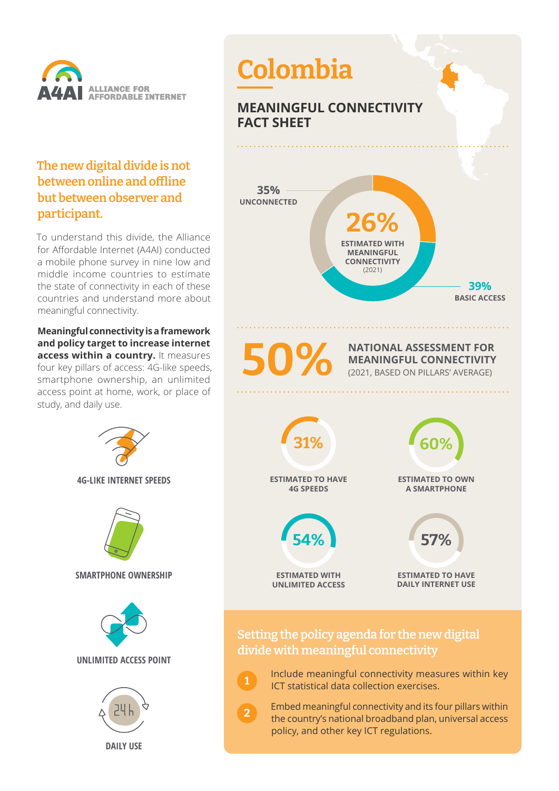

#### **The new digital divide is not between online and offline but between observer and participant.**

To understand this divide, the Alliance for Affordable Internet (A4AI) conducted a mobile phone survey in nine low and middle income countries to estimate the state of connectivity in each of these countries and understand more about meaningful connectivity.

**Meaningful connectivity is a framework and policy target to increase internet access within a country.** It measures four key pillars of access: 4G-like speeds, smartphone ownership, an unlimited access point at home, work, or place of study, and daily use.

> **4G-LIKE INTERNET SPEEDS SMARTPHONE OWNERSHIP UNLIMITED ACCESS POINT DAILY USE**

# **Colombia**

### **MEANINGFUL CONNECTIVITY FACT SHEET**



**NATIONAL ASSESSMENT FOR MEANINGFUL CONNECTIVITY** (2021, BASED ON PILLARS' AVERAGE)



#### **Setting the policy agenda for the new digital divide with meaningful connectivity**

**1**

**2**

 Include meaningful connectivity measures within key ICT statistical data collection exercises.

 Embed meaningful connectivity and its four pillars within the country's national broadband plan, universal access policy, and other key ICT regulations.